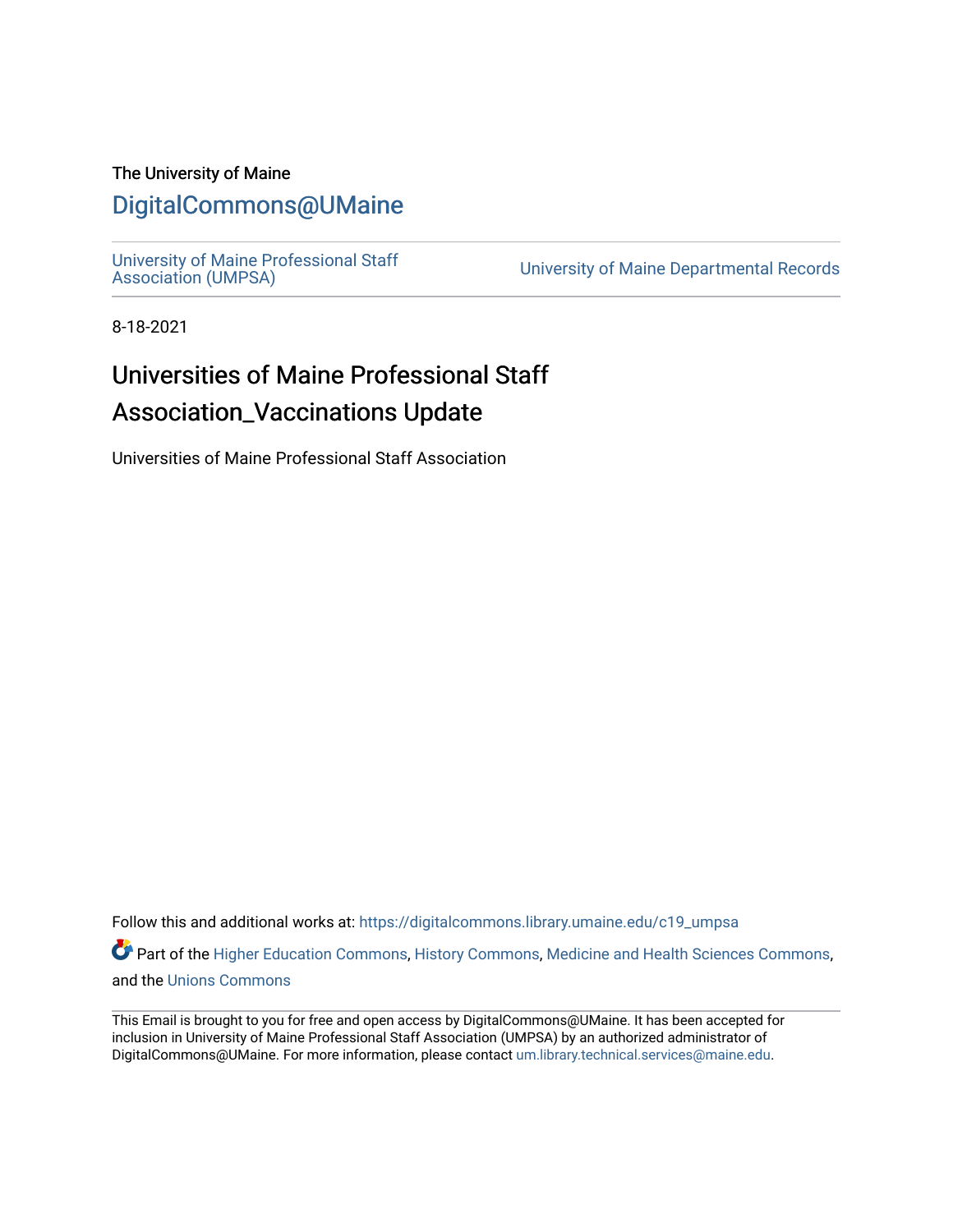#### The University of Maine

### [DigitalCommons@UMaine](https://digitalcommons.library.umaine.edu/)

University of Maine Professional Staff<br>Association (UMPSA)

University of Maine Departmental Records

8-18-2021

## Universities of Maine Professional Staff Association\_Vaccinations Update

Universities of Maine Professional Staff Association

Follow this and additional works at: [https://digitalcommons.library.umaine.edu/c19\\_umpsa](https://digitalcommons.library.umaine.edu/c19_umpsa?utm_source=digitalcommons.library.umaine.edu%2Fc19_umpsa%2F2&utm_medium=PDF&utm_campaign=PDFCoverPages) 

Part of the [Higher Education Commons,](http://network.bepress.com/hgg/discipline/1245?utm_source=digitalcommons.library.umaine.edu%2Fc19_umpsa%2F2&utm_medium=PDF&utm_campaign=PDFCoverPages) [History Commons,](http://network.bepress.com/hgg/discipline/489?utm_source=digitalcommons.library.umaine.edu%2Fc19_umpsa%2F2&utm_medium=PDF&utm_campaign=PDFCoverPages) [Medicine and Health Sciences Commons,](http://network.bepress.com/hgg/discipline/648?utm_source=digitalcommons.library.umaine.edu%2Fc19_umpsa%2F2&utm_medium=PDF&utm_campaign=PDFCoverPages) and the [Unions Commons](http://network.bepress.com/hgg/discipline/1260?utm_source=digitalcommons.library.umaine.edu%2Fc19_umpsa%2F2&utm_medium=PDF&utm_campaign=PDFCoverPages) 

This Email is brought to you for free and open access by DigitalCommons@UMaine. It has been accepted for inclusion in University of Maine Professional Staff Association (UMPSA) by an authorized administrator of DigitalCommons@UMaine. For more information, please contact [um.library.technical.services@maine.edu](mailto:um.library.technical.services@maine.edu).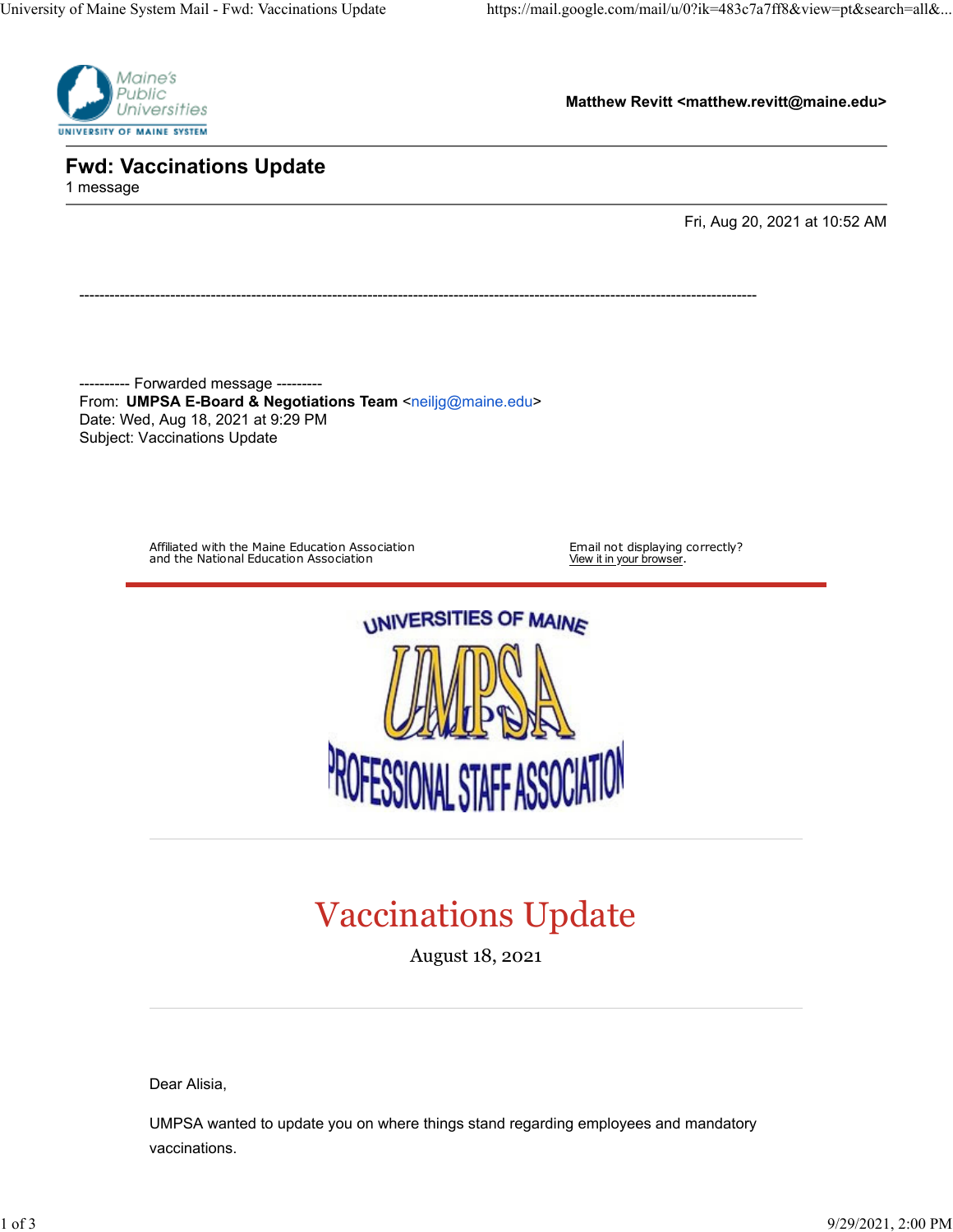

**Matthew Revitt <matthew.revitt@maine.edu>**

**Fwd: Vaccinations Update** 1 message

Fri, Aug 20, 2021 at 10:52 AM

---------- Forwarded message --------- From: **UMPSA E-Board & Negotiations Team** [<neiljg@maine.edu](mailto:neiljg@maine.edu)> Date: Wed, Aug 18, 2021 at 9:29 PM Subject: Vaccinations Update

--------------------------------------------------------------------------------------------------------------------------------------

Affiliated with the Maine Education Association and the National Education Association

Email not displaying correctly?<br>View it in <u>your browser</u>.



# Vaccinations Update

August 18, 2021

Dear Alisia,

UMPSA wanted to update you on where things stand regarding employees and mandatory vaccinations.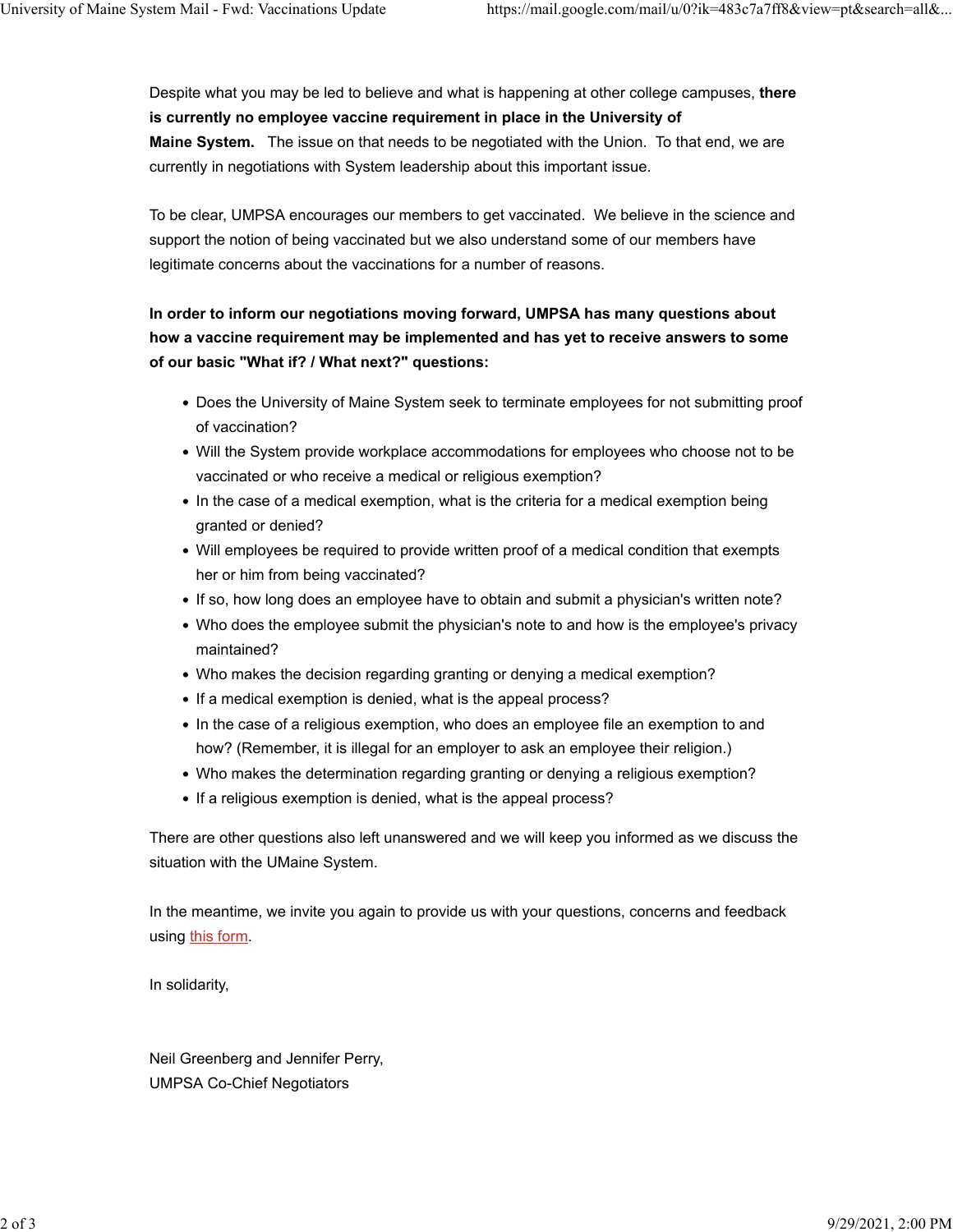Despite what you may be led to believe and what is happening at other college campuses, **there is currently no employee vaccine requirement in place in the University of Maine System.** The issue on that needs to be negotiated with the Union. To that end, we are currently in negotiations with System leadership about this important issue.

To be clear, UMPSA encourages our members to get vaccinated. We believe in the science and support the notion of being vaccinated but we also understand some of our members have legitimate concerns about the vaccinations for a number of reasons.

### **In order to inform our negotiations moving forward, UMPSA has many questions about how a vaccine requirement may be implemented and has yet to receive answers to some of our basic "What if? / What next?" questions:**

- Does the University of Maine System seek to terminate employees for not submitting proof of vaccination?
- Will the System provide workplace accommodations for employees who choose not to be vaccinated or who receive a medical or religious exemption?
- In the case of a medical exemption, what is the criteria for a medical exemption being granted or denied?
- Will employees be required to provide written proof of a medical condition that exempts her or him from being vaccinated?
- If so, how long does an employee have to obtain and submit a physician's written note?
- Who does the employee submit the physician's note to and how is the employee's privacy maintained?
- Who makes the decision regarding granting or denying a medical exemption?
- If a medical exemption is denied, what is the appeal process?
- In the case of a religious exemption, who does an employee file an exemption to and how? (Remember, it is illegal for an employer to ask an employee their religion.)
- Who makes the determination regarding granting or denying a religious exemption?
- If a religious exemption is denied, what is the appeal process?

There are other questions also left unanswered and we will keep you informed as we discuss the situation with the UMaine System.

In the meantime, we invite you again to provide us with your questions, concerns and feedback using [this form.](https://umpsa.us7.list-manage.com/track/click?u=cbd39cbf2a49a1d34b357ac73&id=d0a4d0bbe2&e=ba48139edd)

In solidarity,

Neil Greenberg and Jennifer Perry, UMPSA Co-Chief Negotiators